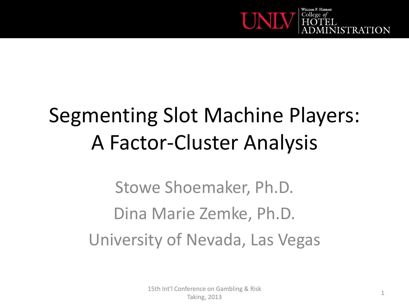

#### Segmenting Slot Machine Players: A Factor-Cluster Analysis

Stowe Shoemaker, Ph.D. Dina Marie Zemke, Ph.D. University of Nevada, Las Vegas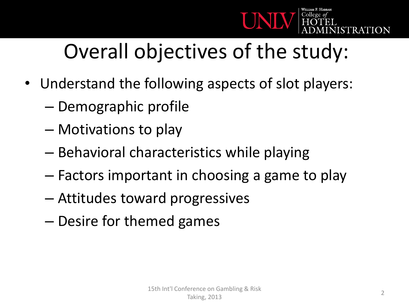

#### Overall objectives of the study:

- Understand the following aspects of slot players:
	- Demographic profile
	- Motivations to play
	- Behavioral characteristics while playing
	- Factors important in choosing a game to play
	- Attitudes toward progressives
	- Desire for themed games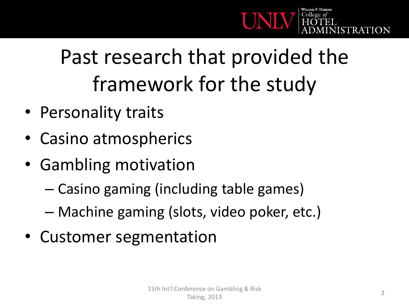

## Past research that provided the framework for the study

- Personality traits
- Casino atmospherics
- Gambling motivation
	- Casino gaming (including table games)
	- Machine gaming (slots, video poker, etc.)
- Customer segmentation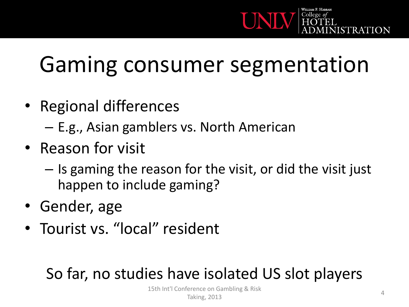

## Gaming consumer segmentation

- Regional differences
	- E.g., Asian gamblers vs. North American
- Reason for visit
	- Is gaming the reason for the visit, or did the visit just happen to include gaming?
- Gender, age
- Tourist vs. "local" resident

#### So far, no studies have isolated US slot players

15th Int'l Conference on Gambling & Risk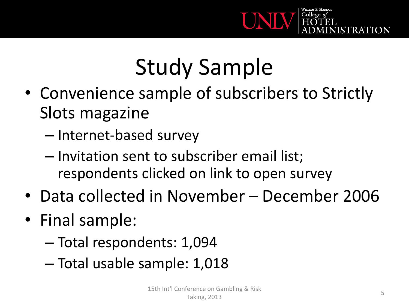

# Study Sample

- Convenience sample of subscribers to Strictly Slots magazine
	- Internet-based survey
	- Invitation sent to subscriber email list; respondents clicked on link to open survey
- Data collected in November December 2006
- Final sample:
	- Total respondents: 1,094
	- Total usable sample: 1,018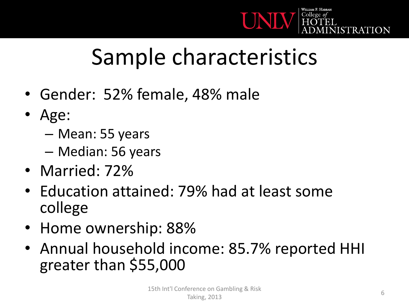

## Sample characteristics

- Gender: 52% female, 48% male
- Age:
	- Mean: 55 years
	- Median: 56 years
- Married: 72%
- Education attained: 79% had at least some college
- Home ownership: 88%
- Annual household income: 85.7% reported HHI greater than \$55,000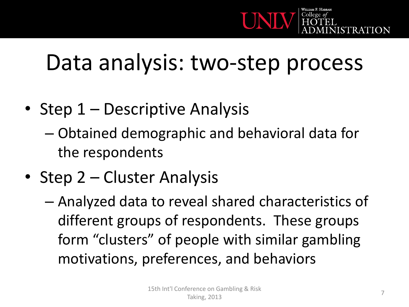

#### Data analysis: two-step process

- Step 1 Descriptive Analysis
	- Obtained demographic and behavioral data for the respondents
- Step 2 Cluster Analysis
	- Analyzed data to reveal shared characteristics of different groups of respondents. These groups form "clusters" of people with similar gambling motivations, preferences, and behaviors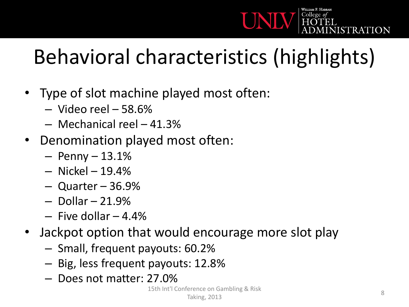

#### Behavioral characteristics (highlights)

- Type of slot machine played most often:
	- Video reel 58.6%
	- Mechanical reel 41.3%
- Denomination played most often:
	- $-$  Penny  $-$  13.1%
	- Nickel 19.4%
	- Quarter 36.9%
	- $-$  Dollar  $-$  21.9%
	- $-$  Five dollar  $-4.4%$
- Jackpot option that would encourage more slot play
	- Small, frequent payouts: 60.2%
	- Big, less frequent payouts: 12.8%
	- Does not matter: 27.0%

15th Int'l Conference on Gambling & Risk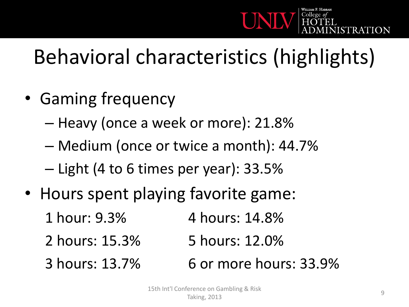

#### Behavioral characteristics (highlights)

- Gaming frequency
	- Heavy (once a week or more): 21.8%
	- Medium (once or twice a month): 44.7%
	- Light (4 to 6 times per year): 33.5%
- Hours spent playing favorite game:
	- 1 hour: 9.3% 4 hours: 14.8%
	- 2 hours: 15.3% 5 hours: 12.0%
	- 3 hours: 13.7% 6 or more hours: 33.9%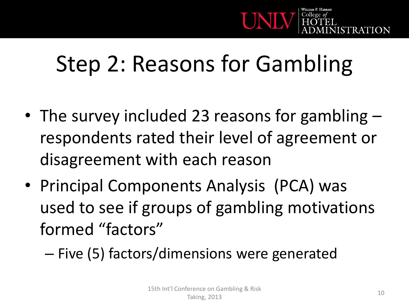

## Step 2: Reasons for Gambling

- The survey included 23 reasons for gambling respondents rated their level of agreement or disagreement with each reason
- Principal Components Analysis (PCA) was used to see if groups of gambling motivations formed "factors"
	- Five (5) factors/dimensions were generated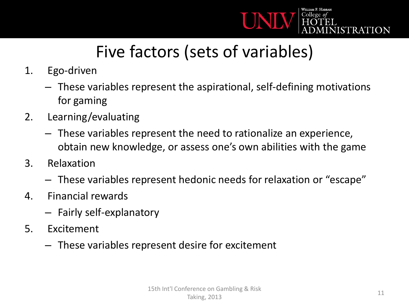

#### Five factors (sets of variables)

- 1. Ego-driven
	- These variables represent the aspirational, self-defining motivations for gaming
- 2. Learning/evaluating
	- These variables represent the need to rationalize an experience, obtain new knowledge, or assess one's own abilities with the game
- 3. Relaxation
	- These variables represent hedonic needs for relaxation or "escape"
- 4. Financial rewards
	- Fairly self-explanatory
- 5. Excitement
	- These variables represent desire for excitement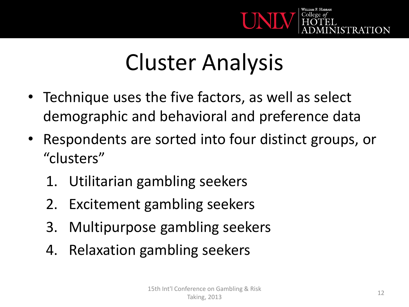

## Cluster Analysis

- Technique uses the five factors, as well as select demographic and behavioral and preference data
- Respondents are sorted into four distinct groups, or "clusters"
	- 1. Utilitarian gambling seekers
	- 2. Excitement gambling seekers
	- 3. Multipurpose gambling seekers
	- 4. Relaxation gambling seekers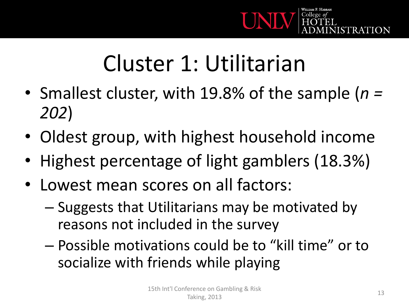

## Cluster 1: Utilitarian

- Smallest cluster, with 19.8% of the sample (*n = 202*)
- Oldest group, with highest household income
- Highest percentage of light gamblers (18.3%)
- Lowest mean scores on all factors:
	- Suggests that Utilitarians may be motivated by reasons not included in the survey
	- Possible motivations could be to "kill time" or to socialize with friends while playing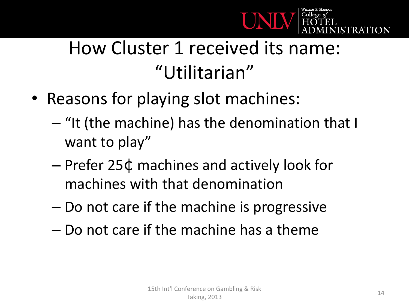

#### How Cluster 1 received its name: "Utilitarian"

- Reasons for playing slot machines:
	- "It (the machine) has the denomination that I want to play"
	- Prefer 25¢ machines and actively look for machines with that denomination
	- Do not care if the machine is progressive
	- Do not care if the machine has a theme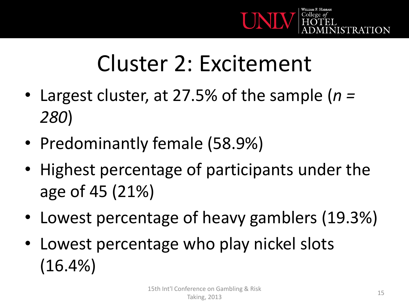

## Cluster 2: Excitement

- Largest cluster, at 27.5% of the sample (*n = 280*)
- Predominantly female (58.9%)
- Highest percentage of participants under the age of 45 (21%)
- Lowest percentage of heavy gamblers (19.3%)
- Lowest percentage who play nickel slots (16.4%)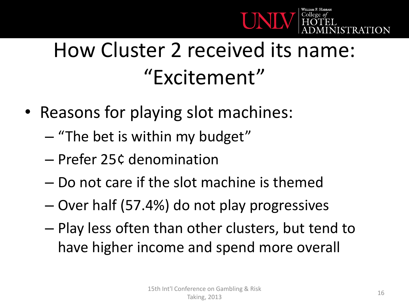

#### How Cluster 2 received its name: "Excitement"

- Reasons for playing slot machines:
	- "The bet is within my budget"
	- Prefer 25¢ denomination
	- Do not care if the slot machine is themed
	- Over half (57.4%) do not play progressives
	- Play less often than other clusters, but tend to have higher income and spend more overall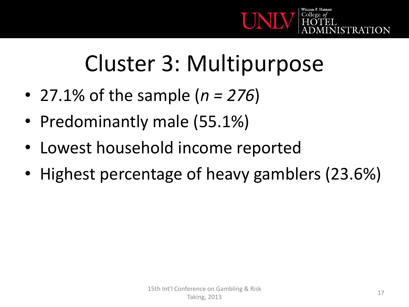

## Cluster 3: Multipurpose

- 27.1% of the sample (*n = 276*)
- Predominantly male (55.1%)
- Lowest household income reported
- Highest percentage of heavy gamblers (23.6%)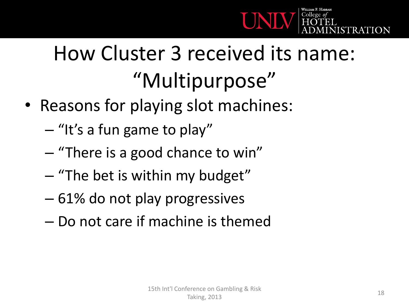

## How Cluster 3 received its name: "Multipurpose"

- Reasons for playing slot machines:
	- "It's a fun game to play"
	- "There is a good chance to win"
	- "The bet is within my budget"
	- 61% do not play progressives
	- Do not care if machine is themed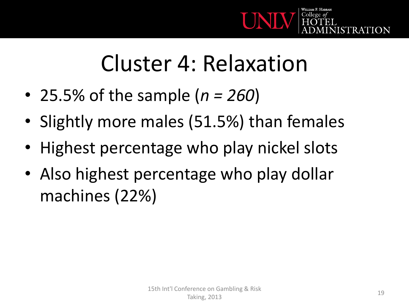

#### Cluster 4: Relaxation

- 25.5% of the sample (*n = 260*)
- Slightly more males (51.5%) than females
- Highest percentage who play nickel slots
- Also highest percentage who play dollar machines (22%)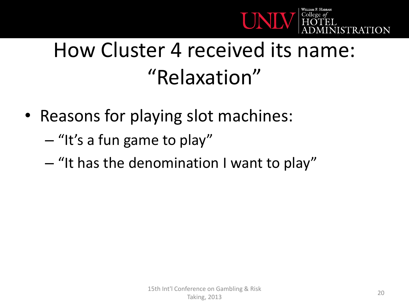

#### How Cluster 4 received its name: "Relaxation"

- Reasons for playing slot machines:
	- "It's a fun game to play"
	- "It has the denomination I want to play"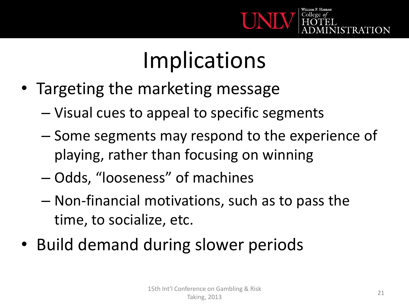

## Implications

- Targeting the marketing message
	- Visual cues to appeal to specific segments
	- Some segments may respond to the experience of playing, rather than focusing on winning
	- Odds, "looseness" of machines
	- Non-financial motivations, such as to pass the time, to socialize, etc.
- Build demand during slower periods